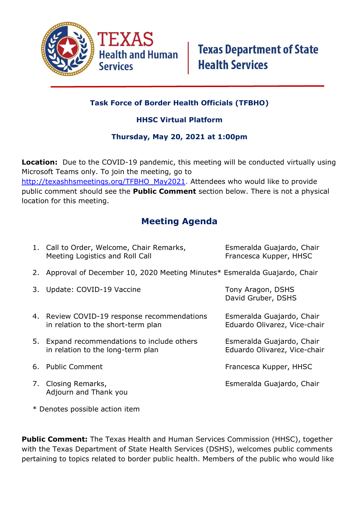

## **Task Force of Border Health Officials (TFBHO)**

### **HHSC Virtual Platform**

#### **Thursday, May 20, 2021 at 1:00pm**

**Location:** Due to the COVID-19 pandemic, this meeting will be conducted virtually using Microsoft Teams only. To join the meeting, go to [http://texashhsmeetings.org/TFBHO\\_May2021.](http://texashhsmeetings.org/TFBHO_May2021) Attendees who would like to provide public comment should see the **Public Comment** section below. There is not a physical location for this meeting.

# **Meeting Agenda**

| 1. Call to Order, Welcome, Chair Remarks,<br>Meeting Logistics and Roll Call      | Esmeralda Guajardo, Chair<br>Francesca Kupper, HHSC       |
|-----------------------------------------------------------------------------------|-----------------------------------------------------------|
| 2. Approval of December 10, 2020 Meeting Minutes* Esmeralda Guajardo, Chair       |                                                           |
| 3. Update: COVID-19 Vaccine                                                       | Tony Aragon, DSHS<br>David Gruber, DSHS                   |
| 4. Review COVID-19 response recommendations<br>in relation to the short-term plan | Esmeralda Guajardo, Chair<br>Eduardo Olivarez, Vice-chair |
| 5. Expand recommendations to include others<br>in relation to the long-term plan  | Esmeralda Guajardo, Chair<br>Eduardo Olivarez, Vice-chair |
| 6. Public Comment                                                                 | Francesca Kupper, HHSC                                    |
| 7. Closing Remarks,<br>Adjourn and Thank you                                      | Esmeralda Guajardo, Chair                                 |

\* Denotes possible action item

**Public Comment:** The Texas Health and Human Services Commission (HHSC), together with the Texas Department of State Health Services (DSHS), welcomes public comments pertaining to topics related to border public health. Members of the public who would like